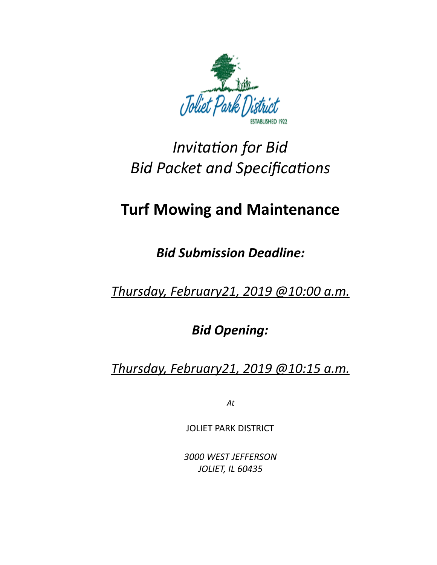

# **Invitation** for Bid **Bid Packet and Specifications**

## **Turf Mowing and Maintenance**

*Bid Submission Deadline:* 

*Thursday, February21, 2019 @10:00 a.m.* 

*Bid Opening:* 

*Thursday, February21, 2019 @10:15 a.m.* 

*At* 

JOLIET PARK DISTRICT

*3000 WEST JEFFERSON JOLIET, IL 60435*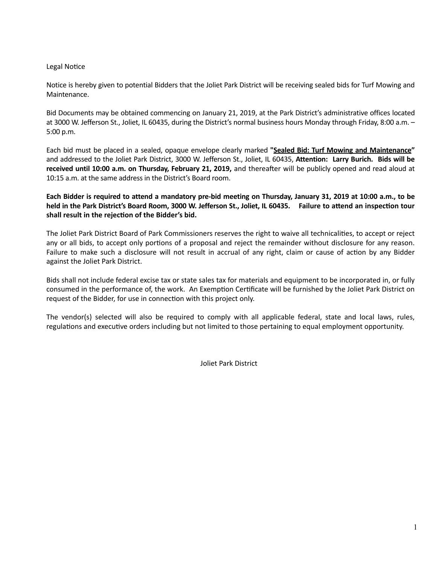#### Legal Notice

Notice is hereby given to potential Bidders that the Joliet Park District will be receiving sealed bids for Turf Mowing and Maintenance. 

Bid Documents may be obtained commencing on January 21, 2019, at the Park District's administrative offices located at 3000 W. Jefferson St., Joliet, IL 60435, during the District's normal business hours Monday through Friday, 8:00 a.m. -5:00 p.m. 

Each bid must be placed in a sealed, opaque envelope clearly marked "**Sealed Bid: Turf Mowing and Maintenance**" and addressed to the Joliet Park District, 3000 W. Jefferson St., Joliet, IL 60435, Attention: Larry Burich. Bids will be received until 10:00 a.m. on Thursday, February 21, 2019, and thereafter will be publicly opened and read aloud at 10:15 a.m. at the same address in the District's Board room.

Each Bidder is required to attend a mandatory pre-bid meeting on Thursday, January 31, 2019 at 10:00 a.m., to be held in the Park District's Board Room, 3000 W. Jefferson St., Joliet, IL 60435. Failure to attend an inspection tour shall result in the rejection of the Bidder's bid.

The Joliet Park District Board of Park Commissioners reserves the right to waive all technicalities, to accept or reject any or all bids, to accept only portions of a proposal and reject the remainder without disclosure for any reason. Failure to make such a disclosure will not result in accrual of any right, claim or cause of action by any Bidder against the Joliet Park District.

Bids shall not include federal excise tax or state sales tax for materials and equipment to be incorporated in, or fully consumed in the performance of, the work. An Exemption Certificate will be furnished by the Joliet Park District on request of the Bidder, for use in connection with this project only.

The vendor(s) selected will also be required to comply with all applicable federal, state and local laws, rules, regulations and executive orders including but not limited to those pertaining to equal employment opportunity.

Joliet Park District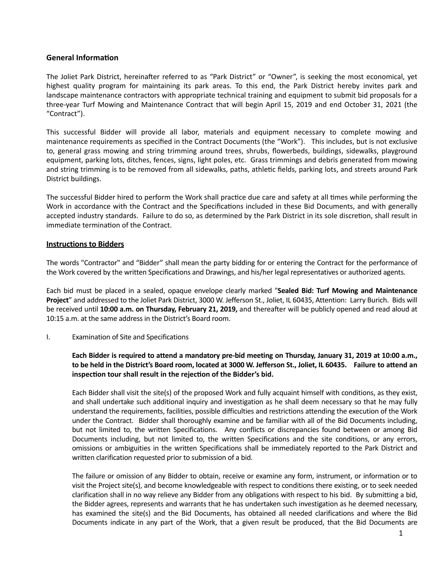#### **General Information**

The Joliet Park District, hereinafter referred to as "Park District" or "Owner", is seeking the most economical, yet highest quality program for maintaining its park areas. To this end, the Park District hereby invites park and landscape maintenance contractors with appropriate technical training and equipment to submit bid proposals for a three-year Turf Mowing and Maintenance Contract that will begin April 15, 2019 and end October 31, 2021 (the "Contract"). 

This successful Bidder will provide all labor, materials and equipment necessary to complete mowing and maintenance requirements as specified in the Contract Documents (the "Work"). This includes, but is not exclusive to, general grass mowing and string trimming around trees, shrubs, flowerbeds, buildings, sidewalks, playground equipment, parking lots, ditches, fences, signs, light poles, etc. Grass trimmings and debris generated from mowing and string trimming is to be removed from all sidewalks, paths, athletic fields, parking lots, and streets around Park District buildings.

The successful Bidder hired to perform the Work shall practice due care and safety at all times while performing the Work in accordance with the Contract and the Specifications included in these Bid Documents, and with generally accepted industry standards. Failure to do so, as determined by the Park District in its sole discretion, shall result in immediate termination of the Contract.

#### **Instructions to Bidders**

The words "Contractor" and "Bidder" shall mean the party bidding for or entering the Contract for the performance of the Work covered by the written Specifications and Drawings, and his/her legal representatives or authorized agents.

Each bid must be placed in a sealed, opaque envelope clearly marked "Sealed Bid: Turf Mowing and Maintenance Project" and addressed to the Joliet Park District, 3000 W. Jefferson St., Joliet, IL 60435, Attention: Larry Burich. Bids will be received until 10:00 a.m. on Thursday, February 21, 2019, and thereafter will be publicly opened and read aloud at 10:15 a.m. at the same address in the District's Board room.

#### I. Examination of Site and Specifications

Each Bidder is required to attend a mandatory pre-bid meeting on Thursday, January 31, 2019 at 10:00 a.m., to be held in the District's Board room, located at 3000 W. Jefferson St., Joliet, IL 60435. Failure to attend an inspection tour shall result in the rejection of the Bidder's bid.

Each Bidder shall visit the site(s) of the proposed Work and fully acquaint himself with conditions, as they exist, and shall undertake such additional inquiry and investigation as he shall deem necessary so that he may fully understand the requirements, facilities, possible difficulties and restrictions attending the execution of the Work under the Contract. Bidder shall thoroughly examine and be familiar with all of the Bid Documents including, but not limited to, the written Specifications. Any conflicts or discrepancies found between or among Bid Documents including, but not limited to, the written Specifications and the site conditions, or any errors, omissions or ambiguities in the written Specifications shall be immediately reported to the Park District and written clarification requested prior to submission of a bid.

The failure or omission of any Bidder to obtain, receive or examine any form, instrument, or information or to visit the Project site(s), and become knowledgeable with respect to conditions there existing, or to seek needed clarification shall in no way relieve any Bidder from any obligations with respect to his bid. By submitting a bid, the Bidder agrees, represents and warrants that he has undertaken such investigation as he deemed necessary, has examined the site(s) and the Bid Documents, has obtained all needed clarifications and where the Bid Documents indicate in any part of the Work, that a given result be produced, that the Bid Documents are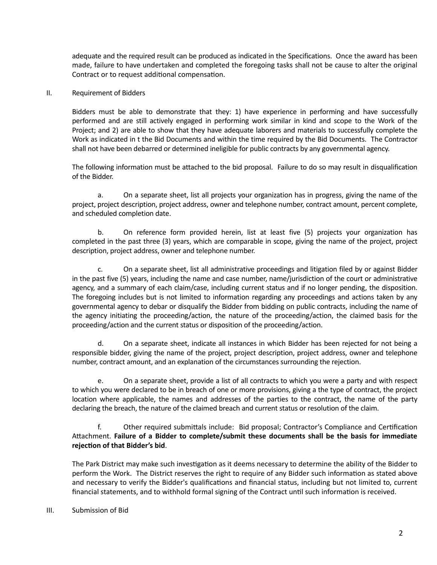adequate and the required result can be produced as indicated in the Specifications. Once the award has been made, failure to have undertaken and completed the foregoing tasks shall not be cause to alter the original Contract or to request additional compensation.

#### II. Requirement of Bidders

Bidders must be able to demonstrate that they: 1) have experience in performing and have successfully performed and are still actively engaged in performing work similar in kind and scope to the Work of the Project; and 2) are able to show that they have adequate laborers and materials to successfully complete the Work as indicated in t the Bid Documents and within the time required by the Bid Documents. The Contractor shall not have been debarred or determined ineligible for public contracts by any governmental agency.

The following information must be attached to the bid proposal. Failure to do so may result in disqualification of the Bidder.

a. On a separate sheet, list all projects your organization has in progress, giving the name of the project, project description, project address, owner and telephone number, contract amount, percent complete, and scheduled completion date.

b. On reference form provided herein, list at least five (5) projects your organization has completed in the past three (3) years, which are comparable in scope, giving the name of the project, project description, project address, owner and telephone number.

c. On a separate sheet, list all administrative proceedings and litigation filed by or against Bidder in the past five (5) years, including the name and case number, name/jurisdiction of the court or administrative agency, and a summary of each claim/case, including current status and if no longer pending, the disposition. The foregoing includes but is not limited to information regarding any proceedings and actions taken by any governmental agency to debar or disqualify the Bidder from bidding on public contracts, including the name of the agency initiating the proceeding/action, the nature of the proceeding/action, the claimed basis for the proceeding/action and the current status or disposition of the proceeding/action.

d. On a separate sheet, indicate all instances in which Bidder has been rejected for not being a responsible bidder, giving the name of the project, project description, project address, owner and telephone number, contract amount, and an explanation of the circumstances surrounding the rejection.

e. On a separate sheet, provide a list of all contracts to which you were a party and with respect to which you were declared to be in breach of one or more provisions, giving a the type of contract, the project location where applicable, the names and addresses of the parties to the contract, the name of the party declaring the breach, the nature of the claimed breach and current status or resolution of the claim.

f. Other required submittals include: Bid proposal; Contractor's Compliance and Certification Attachment. Failure of a Bidder to complete/submit these documents shall be the basis for immediate rejection of that Bidder's bid.

The Park District may make such investigation as it deems necessary to determine the ability of the Bidder to perform the Work. The District reserves the right to require of any Bidder such information as stated above and necessary to verify the Bidder's qualifications and financial status, including but not limited to, current financial statements, and to withhold formal signing of the Contract until such information is received.

#### III. Submission of Bid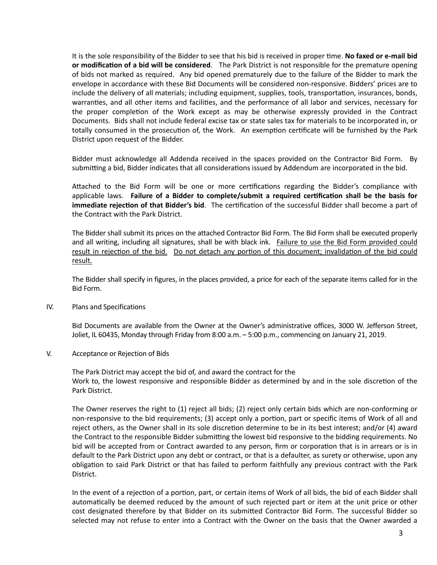It is the sole responsibility of the Bidder to see that his bid is received in proper time. No faxed or e-mail bid **or modification of a bid will be considered**. The Park District is not responsible for the premature opening of bids not marked as required. Any bid opened prematurely due to the failure of the Bidder to mark the envelope in accordance with these Bid Documents will be considered non-responsive. Bidders' prices are to include the delivery of all materials; including equipment, supplies, tools, transportation, insurances, bonds, warranties, and all other items and facilities, and the performance of all labor and services, necessary for the proper completion of the Work except as may be otherwise expressly provided in the Contract Documents. Bids shall not include federal excise tax or state sales tax for materials to be incorporated in, or totally consumed in the prosecution of, the Work. An exemption certificate will be furnished by the Park District upon request of the Bidder.

Bidder must acknowledge all Addenda received in the spaces provided on the Contractor Bid Form. By submitting a bid, Bidder indicates that all considerations issued by Addendum are incorporated in the bid.

Attached to the Bid Form will be one or more certifications regarding the Bidder's compliance with applicable laws. Failure of a Bidder to complete/submit a required certification shall be the basis for **immediate rejection of that Bidder's bid**. The certification of the successful Bidder shall become a part of the Contract with the Park District.

The Bidder shall submit its prices on the attached Contractor Bid Form. The Bid Form shall be executed properly and all writing, including all signatures, shall be with black ink. Failure to use the Bid Form provided could result in rejection of the bid. Do not detach any portion of this document; invalidation of the bid could result.

The Bidder shall specify in figures, in the places provided, a price for each of the separate items called for in the Bid Form. 

IV. Plans and Specifications

Bid Documents are available from the Owner at the Owner's administrative offices, 3000 W. Jefferson Street, Joliet, IL 60435, Monday through Friday from 8:00 a.m.  $-5:00$  p.m., commencing on January 21, 2019.

V. Acceptance or Rejection of Bids

The Park District may accept the bid of, and award the contract for the Work to, the lowest responsive and responsible Bidder as determined by and in the sole discretion of the Park District. 

The Owner reserves the right to (1) reject all bids; (2) reject only certain bids which are non-conforming or non-responsive to the bid requirements; (3) accept only a portion, part or specific items of Work of all and reject others, as the Owner shall in its sole discretion determine to be in its best interest; and/or (4) award the Contract to the responsible Bidder submitting the lowest bid responsive to the bidding requirements. No bid will be accepted from or Contract awarded to any person, firm or corporation that is in arrears or is in default to the Park District upon any debt or contract, or that is a defaulter, as surety or otherwise, upon any obligation to said Park District or that has failed to perform faithfully any previous contract with the Park District. 

In the event of a rejection of a portion, part, or certain items of Work of all bids, the bid of each Bidder shall automatically be deemed reduced by the amount of such rejected part or item at the unit price or other cost designated therefore by that Bidder on its submitted Contractor Bid Form. The successful Bidder so selected may not refuse to enter into a Contract with the Owner on the basis that the Owner awarded a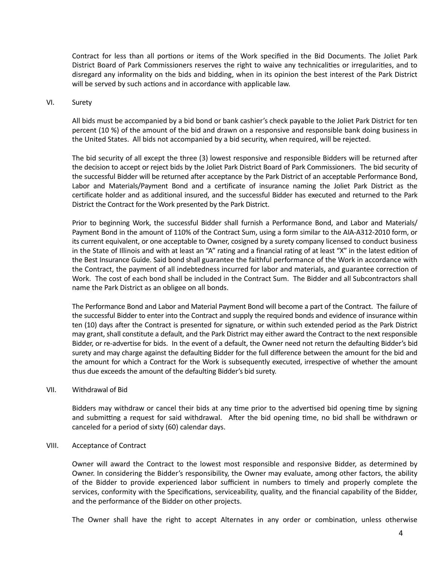Contract for less than all portions or items of the Work specified in the Bid Documents. The Joliet Park District Board of Park Commissioners reserves the right to waive any technicalities or irregularities, and to disregard any informality on the bids and bidding, when in its opinion the best interest of the Park District will be served by such actions and in accordance with applicable law.

#### VI. Surety

All bids must be accompanied by a bid bond or bank cashier's check payable to the Joliet Park District for ten percent (10 %) of the amount of the bid and drawn on a responsive and responsible bank doing business in the United States. All bids not accompanied by a bid security, when required, will be rejected.

The bid security of all except the three (3) lowest responsive and responsible Bidders will be returned after the decision to accept or reject bids by the Joliet Park District Board of Park Commissioners. The bid security of the successful Bidder will be returned after acceptance by the Park District of an acceptable Performance Bond, Labor and Materials/Payment Bond and a certificate of insurance naming the Joliet Park District as the certificate holder and as additional insured, and the successful Bidder has executed and returned to the Park District the Contract for the Work presented by the Park District.

Prior to beginning Work, the successful Bidder shall furnish a Performance Bond, and Labor and Materials/ Payment Bond in the amount of 110% of the Contract Sum, using a form similar to the AIA-A312-2010 form, or its current equivalent, or one acceptable to Owner, cosigned by a surety company licensed to conduct business in the State of Illinois and with at least an "A" rating and a financial rating of at least "X" in the latest edition of the Best Insurance Guide. Said bond shall guarantee the faithful performance of the Work in accordance with the Contract, the payment of all indebtedness incurred for labor and materials, and guarantee correction of Work. The cost of each bond shall be included in the Contract Sum. The Bidder and all Subcontractors shall name the Park District as an obligee on all bonds.

The Performance Bond and Labor and Material Payment Bond will become a part of the Contract. The failure of the successful Bidder to enter into the Contract and supply the required bonds and evidence of insurance within ten (10) days after the Contract is presented for signature, or within such extended period as the Park District may grant, shall constitute a default, and the Park District may either award the Contract to the next responsible Bidder, or re-advertise for bids. In the event of a default, the Owner need not return the defaulting Bidder's bid surety and may charge against the defaulting Bidder for the full difference between the amount for the bid and the amount for which a Contract for the Work is subsequently executed, irrespective of whether the amount thus due exceeds the amount of the defaulting Bidder's bid surety.

#### VII. Withdrawal of Bid

Bidders may withdraw or cancel their bids at any time prior to the advertised bid opening time by signing and submitting a request for said withdrawal. After the bid opening time, no bid shall be withdrawn or canceled for a period of sixty (60) calendar days.

#### VIII. Acceptance of Contract

Owner will award the Contract to the lowest most responsible and responsive Bidder, as determined by Owner. In considering the Bidder's responsibility, the Owner may evaluate, among other factors, the ability of the Bidder to provide experienced labor sufficient in numbers to timely and properly complete the services, conformity with the Specifications, serviceability, quality, and the financial capability of the Bidder, and the performance of the Bidder on other projects.

The Owner shall have the right to accept Alternates in any order or combination, unless otherwise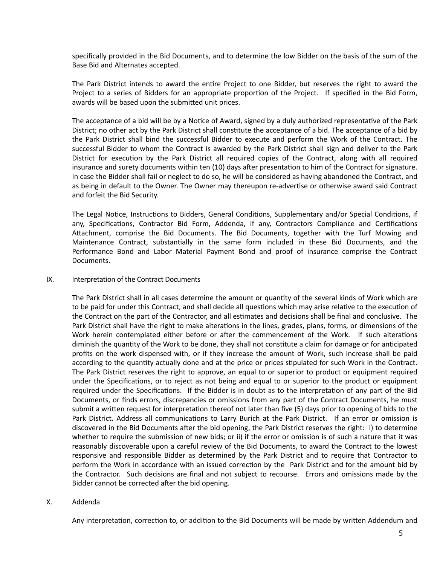specifically provided in the Bid Documents, and to determine the low Bidder on the basis of the sum of the Base Bid and Alternates accepted.

The Park District intends to award the entire Project to one Bidder, but reserves the right to award the Project to a series of Bidders for an appropriate proportion of the Project. If specified in the Bid Form, awards will be based upon the submitted unit prices.

The acceptance of a bid will be by a Notice of Award, signed by a duly authorized representative of the Park District; no other act by the Park District shall constitute the acceptance of a bid. The acceptance of a bid by the Park District shall bind the successful Bidder to execute and perform the Work of the Contract. The successful Bidder to whom the Contract is awarded by the Park District shall sign and deliver to the Park District for execution by the Park District all required copies of the Contract, along with all required insurance and surety documents within ten (10) days after presentation to him of the Contract for signature. In case the Bidder shall fail or neglect to do so, he will be considered as having abandoned the Contract, and as being in default to the Owner. The Owner may thereupon re-advertise or otherwise award said Contract and forfeit the Bid Security.

The Legal Notice, Instructions to Bidders, General Conditions, Supplementary and/or Special Conditions, if any, Specifications, Contractor Bid Form, Addenda, if any, Contractors Compliance and Certifications Attachment, comprise the Bid Documents. The Bid Documents, together with the Turf Mowing and Maintenance Contract, substantially in the same form included in these Bid Documents, and the Performance Bond and Labor Material Payment Bond and proof of insurance comprise the Contract Documents. 

#### IX. Interpretation of the Contract Documents

The Park District shall in all cases determine the amount or quantity of the several kinds of Work which are to be paid for under this Contract, and shall decide all questions which may arise relative to the execution of the Contract on the part of the Contractor, and all estimates and decisions shall be final and conclusive. The Park District shall have the right to make alterations in the lines, grades, plans, forms, or dimensions of the Work herein contemplated either before or after the commencement of the Work. If such alterations diminish the quantity of the Work to be done, they shall not constitute a claim for damage or for anticipated profits on the work dispensed with, or if they increase the amount of Work, such increase shall be paid according to the quantity actually done and at the price or prices stipulated for such Work in the Contract. The Park District reserves the right to approve, an equal to or superior to product or equipment required under the Specifications, or to reject as not being and equal to or superior to the product or equipment required under the Specifications. If the Bidder is in doubt as to the interpretation of any part of the Bid Documents, or finds errors, discrepancies or omissions from any part of the Contract Documents, he must submit a written request for interpretation thereof not later than five (5) days prior to opening of bids to the Park District. Address all communications to Larry Burich at the Park District. If an error or omission is discovered in the Bid Documents after the bid opening, the Park District reserves the right: i) to determine whether to require the submission of new bids; or ii) if the error or omission is of such a nature that it was reasonably discoverable upon a careful review of the Bid Documents, to award the Contract to the lowest responsive and responsible Bidder as determined by the Park District and to require that Contractor to perform the Work in accordance with an issued correction by the Park District and for the amount bid by the Contractor. Such decisions are final and not subject to recourse. Errors and omissions made by the Bidder cannot be corrected after the bid opening.

#### X. Addenda

Any interpretation, correction to, or addition to the Bid Documents will be made by written Addendum and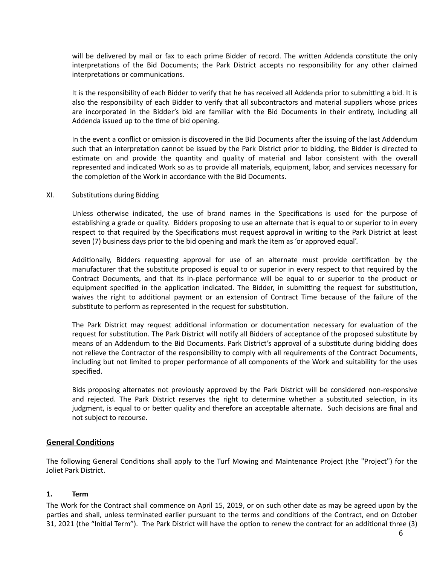will be delivered by mail or fax to each prime Bidder of record. The written Addenda constitute the only interpretations of the Bid Documents; the Park District accepts no responsibility for any other claimed interpretations or communications.

It is the responsibility of each Bidder to verify that he has received all Addenda prior to submitting a bid. It is also the responsibility of each Bidder to verify that all subcontractors and material suppliers whose prices are incorporated in the Bidder's bid are familiar with the Bid Documents in their entirety, including all Addenda issued up to the time of bid opening.

In the event a conflict or omission is discovered in the Bid Documents after the issuing of the last Addendum such that an interpretation cannot be issued by the Park District prior to bidding, the Bidder is directed to estimate on and provide the quantity and quality of material and labor consistent with the overall represented and indicated Work so as to provide all materials, equipment, labor, and services necessary for the completion of the Work in accordance with the Bid Documents.

#### XI. Substitutions during Bidding

Unless otherwise indicated, the use of brand names in the Specifications is used for the purpose of establishing a grade or quality. Bidders proposing to use an alternate that is equal to or superior to in every respect to that required by the Specifications must request approval in writing to the Park District at least seven (7) business days prior to the bid opening and mark the item as 'or approved equal'.

Additionally, Bidders requesting approval for use of an alternate must provide certification by the manufacturer that the substitute proposed is equal to or superior in every respect to that required by the Contract Documents, and that its in-place performance will be equal to or superior to the product or equipment specified in the application indicated. The Bidder, in submitting the request for substitution, waives the right to additional payment or an extension of Contract Time because of the failure of the substitute to perform as represented in the request for substitution.

The Park District may request additional information or documentation necessary for evaluation of the request for substitution. The Park District will notify all Bidders of acceptance of the proposed substitute by means of an Addendum to the Bid Documents. Park District's approval of a substitute during bidding does not relieve the Contractor of the responsibility to comply with all requirements of the Contract Documents, including but not limited to proper performance of all components of the Work and suitability for the uses specified. 

Bids proposing alternates not previously approved by the Park District will be considered non-responsive and rejected. The Park District reserves the right to determine whether a substituted selection, in its judgment, is equal to or better quality and therefore an acceptable alternate. Such decisions are final and not subject to recourse.

#### **General Conditions**

The following General Conditions shall apply to the Turf Mowing and Maintenance Project (the "Project") for the Joliet Park District.

#### **1. Term**

The Work for the Contract shall commence on April 15, 2019, or on such other date as may be agreed upon by the parties and shall, unless terminated earlier pursuant to the terms and conditions of the Contract, end on October 31, 2021 (the "Initial Term"). The Park District will have the option to renew the contract for an additional three (3)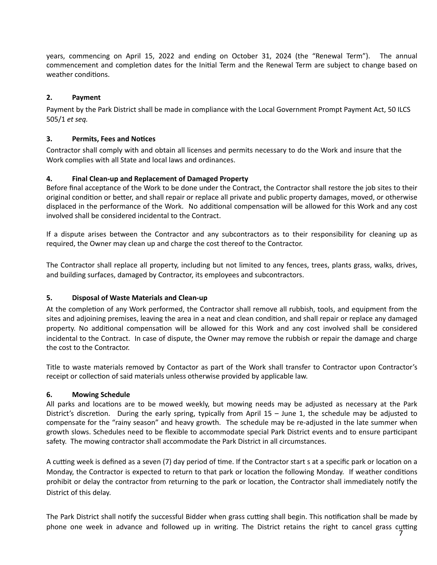years, commencing on April 15, 2022 and ending on October 31, 2024 (the "Renewal Term"). The annual commencement and completion dates for the Initial Term and the Renewal Term are subject to change based on weather conditions.

## 2. **Payment**

Payment by the Park District shall be made in compliance with the Local Government Prompt Payment Act, 50 ILCS 505/1 *et seq.* 

#### **3.** Permits, Fees and Notices

Contractor shall comply with and obtain all licenses and permits necessary to do the Work and insure that the Work complies with all State and local laws and ordinances.

#### **4. Final Clean-up and Replacement of Damaged Property**

Before final acceptance of the Work to be done under the Contract, the Contractor shall restore the job sites to their original condition or better, and shall repair or replace all private and public property damages, moved, or otherwise displaced in the performance of the Work. No additional compensation will be allowed for this Work and any cost involved shall be considered incidental to the Contract.

If a dispute arises between the Contractor and any subcontractors as to their responsibility for cleaning up as required, the Owner may clean up and charge the cost thereof to the Contractor.

The Contractor shall replace all property, including but not limited to any fences, trees, plants grass, walks, drives, and building surfaces, damaged by Contractor, its employees and subcontractors.

#### **5.** Disposal of Waste Materials and Clean-up

At the completion of any Work performed, the Contractor shall remove all rubbish, tools, and equipment from the sites and adjoining premises, leaving the area in a neat and clean condition, and shall repair or replace any damaged property. No additional compensation will be allowed for this Work and any cost involved shall be considered incidental to the Contract. In case of dispute, the Owner may remove the rubbish or repair the damage and charge the cost to the Contractor.

Title to waste materials removed by Contactor as part of the Work shall transfer to Contractor upon Contractor's receipt or collection of said materials unless otherwise provided by applicable law.

#### **6.** Mowing Schedule

All parks and locations are to be mowed weekly, but mowing needs may be adjusted as necessary at the Park District's discretion. During the early spring, typically from April  $15 -$  June 1, the schedule may be adjusted to compensate for the "rainy season" and heavy growth. The schedule may be re-adjusted in the late summer when growth slows. Schedules need to be flexible to accommodate special Park District events and to ensure participant safety. The mowing contractor shall accommodate the Park District in all circumstances.

A cutting week is defined as a seven (7) day period of time. If the Contractor start s at a specific park or location on a Monday, the Contractor is expected to return to that park or location the following Monday. If weather conditions prohibit or delay the contractor from returning to the park or location, the Contractor shall immediately notify the District of this delay.

The Park District shall notify the successful Bidder when grass cutting shall begin. This notification shall be made by phone one week in advance and followed up in writing. The District retains the right to cancel grass cutting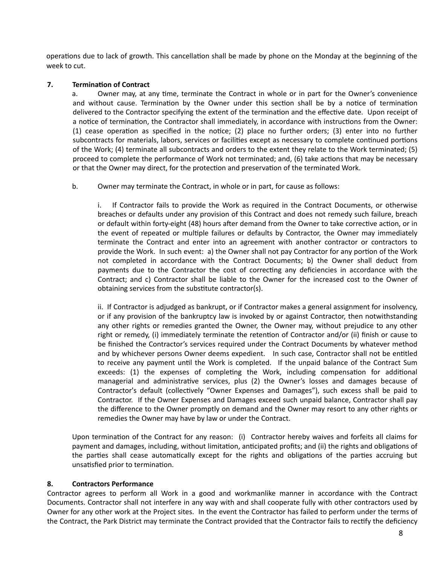operations due to lack of growth. This cancellation shall be made by phone on the Monday at the beginning of the week to cut.

#### **7.** Termination of Contract

a. Owner may, at any time, terminate the Contract in whole or in part for the Owner's convenience and without cause. Termination by the Owner under this section shall be by a notice of termination delivered to the Contractor specifying the extent of the termination and the effective date. Upon receipt of a notice of termination, the Contractor shall immediately, in accordance with instructions from the Owner: (1) cease operation as specified in the notice; (2) place no further orders; (3) enter into no further subcontracts for materials, labors, services or facilities except as necessary to complete continued portions of the Work; (4) terminate all subcontracts and orders to the extent they relate to the Work terminated; (5) proceed to complete the performance of Work not terminated; and, (6) take actions that may be necessary or that the Owner may direct, for the protection and preservation of the terminated Work.

b. Owner may terminate the Contract, in whole or in part, for cause as follows:

i. If Contractor fails to provide the Work as required in the Contract Documents, or otherwise breaches or defaults under any provision of this Contract and does not remedy such failure, breach or default within forty-eight (48) hours after demand from the Owner to take corrective action, or in the event of repeated or multiple failures or defaults by Contractor, the Owner may immediately terminate the Contract and enter into an agreement with another contractor or contractors to provide the Work. In such event: a) the Owner shall not pay Contractor for any portion of the Work not completed in accordance with the Contract Documents; b) the Owner shall deduct from payments due to the Contractor the cost of correcting any deficiencies in accordance with the Contract; and c) Contractor shall be liable to the Owner for the increased cost to the Owner of obtaining services from the substitute contractor(s).

ii. If Contractor is adjudged as bankrupt, or if Contractor makes a general assignment for insolvency, or if any provision of the bankruptcy law is invoked by or against Contractor, then notwithstanding any other rights or remedies granted the Owner, the Owner may, without prejudice to any other right or remedy, (i) immediately terminate the retention of Contractor and/or (ii) finish or cause to be finished the Contractor's services required under the Contract Documents by whatever method and by whichever persons Owner deems expedient. In such case, Contractor shall not be entitled to receive any payment until the Work is completed. If the unpaid balance of the Contract Sum exceeds: (1) the expenses of completing the Work, including compensation for additional managerial and administrative services, plus (2) the Owner's losses and damages because of Contractor's default (collectively "Owner Expenses and Damages"), such excess shall be paid to Contractor. If the Owner Expenses and Damages exceed such unpaid balance, Contractor shall pay the difference to the Owner promptly on demand and the Owner may resort to any other rights or remedies the Owner may have by law or under the Contract.

Upon termination of the Contract for any reason: (i) Contractor hereby waives and forfeits all claims for payment and damages, including, without limitation, anticipated profits; and (ii) the rights and obligations of the parties shall cease automatically except for the rights and obligations of the parties accruing but unsatisfied prior to termination.

#### 8. **Contractors Performance**

Contractor agrees to perform all Work in a good and workmanlike manner in accordance with the Contract Documents. Contractor shall not interfere in any way with and shall cooperate fully with other contractors used by Owner for any other work at the Project sites. In the event the Contractor has failed to perform under the terms of the Contract, the Park District may terminate the Contract provided that the Contractor fails to rectify the deficiency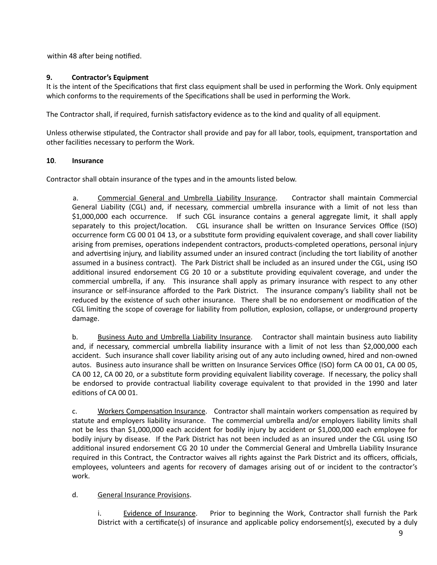within 48 after being notified.

## **9.** Contractor's Equipment

It is the intent of the Specifications that first class equipment shall be used in performing the Work. Only equipment which conforms to the requirements of the Specifications shall be used in performing the Work.

The Contractor shall, if required, furnish satisfactory evidence as to the kind and quality of all equipment.

Unless otherwise stipulated, the Contractor shall provide and pay for all labor, tools, equipment, transportation and other facilities necessary to perform the Work.

## **10**. **Insurance**

Contractor shall obtain insurance of the types and in the amounts listed below.

a. Commercial General and Umbrella Liability Insurance. Contractor shall maintain Commercial General Liability (CGL) and, if necessary, commercial umbrella insurance with a limit of not less than \$1,000,000 each occurrence. If such CGL insurance contains a general aggregate limit, it shall apply separately to this project/location. CGL insurance shall be written on Insurance Services Office (ISO) occurrence form CG 00 01 04 13, or a substitute form providing equivalent coverage, and shall cover liability arising from premises, operations independent contractors, products-completed operations, personal injury and advertising injury, and liability assumed under an insured contract (including the tort liability of another assumed in a business contract). The Park District shall be included as an insured under the CGL, using ISO additional insured endorsement CG 20 10 or a substitute providing equivalent coverage, and under the commercial umbrella, if any. This insurance shall apply as primary insurance with respect to any other insurance or self-insurance afforded to the Park District. The insurance company's liability shall not be reduced by the existence of such other insurance. There shall be no endorsement or modification of the CGL limiting the scope of coverage for liability from pollution, explosion, collapse, or underground property damage. 

b. Business Auto and Umbrella Liability Insurance. Contractor shall maintain business auto liability and, if necessary, commercial umbrella liability insurance with a limit of not less than \$2,000,000 each accident. Such insurance shall cover liability arising out of any auto including owned, hired and non-owned autos. Business auto insurance shall be written on Insurance Services Office (ISO) form CA 00 01, CA 00 05, CA 00 12, CA 00 20, or a substitute form providing equivalent liability coverage. If necessary, the policy shall be endorsed to provide contractual liability coverage equivalent to that provided in the 1990 and later editions of CA 00 01.

c. Workers Compensation Insurance. Contractor shall maintain workers compensation as required by statute and employers liability insurance. The commercial umbrella and/or employers liability limits shall not be less than \$1,000,000 each accident for bodily injury by accident or \$1,000,000 each employee for bodily injury by disease. If the Park District has not been included as an insured under the CGL using ISO additional insured endorsement CG 20 10 under the Commercial General and Umbrella Liability Insurance required in this Contract, the Contractor waives all rights against the Park District and its officers, officials, employees, volunteers and agents for recovery of damages arising out of or incident to the contractor's work. 

## d. General Insurance Provisions.

i. Evidence of Insurance. Prior to beginning the Work, Contractor shall furnish the Park District with a certificate(s) of insurance and applicable policy endorsement(s), executed by a duly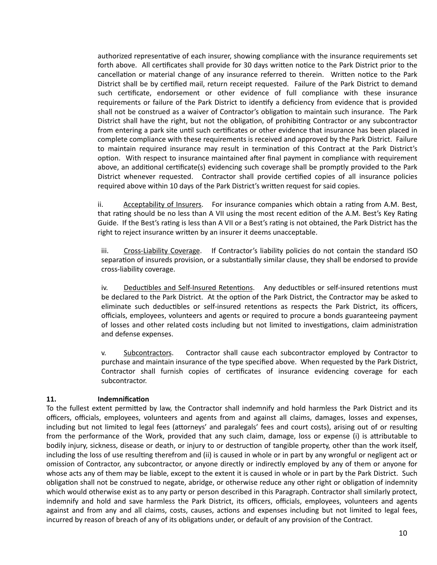authorized representative of each insurer, showing compliance with the insurance requirements set forth above. All certificates shall provide for 30 days written notice to the Park District prior to the cancellation or material change of any insurance referred to therein. Written notice to the Park District shall be by certified mail, return receipt requested. Failure of the Park District to demand such certificate, endorsement or other evidence of full compliance with these insurance requirements or failure of the Park District to identify a deficiency from evidence that is provided shall not be construed as a waiver of Contractor's obligation to maintain such insurance. The Park District shall have the right, but not the obligation, of prohibiting Contractor or any subcontractor from entering a park site until such certificates or other evidence that insurance has been placed in complete compliance with these requirements is received and approved by the Park District. Failure to maintain required insurance may result in termination of this Contract at the Park District's option. With respect to insurance maintained after final payment in compliance with requirement above, an additional certificate(s) evidencing such coverage shall be promptly provided to the Park District whenever requested. Contractor shall provide certified copies of all insurance policies required above within 10 days of the Park District's written request for said copies.

ii. Acceptability of Insurers. For insurance companies which obtain a rating from A.M. Best, that rating should be no less than A VII using the most recent edition of the A.M. Best's Key Rating Guide. If the Best's rating is less than A VII or a Best's rating is not obtained, the Park District has the right to reject insurance written by an insurer it deems unacceptable.

iii. Cross-Liability Coverage. If Contractor's liability policies do not contain the standard ISO separation of insureds provision, or a substantially similar clause, they shall be endorsed to provide cross-liability coverage. 

iv. Deductibles and Self-Insured Retentions. Any deductibles or self-insured retentions must be declared to the Park District. At the option of the Park District, the Contractor may be asked to eliminate such deductibles or self-insured retentions as respects the Park District, its officers, officials, employees, volunteers and agents or required to procure a bonds guaranteeing payment of losses and other related costs including but not limited to investigations, claim administration and defense expenses.

v. Subcontractors. Contractor shall cause each subcontractor employed by Contractor to purchase and maintain insurance of the type specified above. When requested by the Park District, Contractor shall furnish copies of certificates of insurance evidencing coverage for each subcontractor. 

#### **11.** Indemnification

To the fullest extent permitted by law, the Contractor shall indemnify and hold harmless the Park District and its officers, officials, employees, volunteers and agents from and against all claims, damages, losses and expenses, including but not limited to legal fees (attorneys' and paralegals' fees and court costs), arising out of or resulting from the performance of the Work, provided that any such claim, damage, loss or expense (i) is attributable to bodily injury, sickness, disease or death, or injury to or destruction of tangible property, other than the work itself, including the loss of use resulting therefrom and (ii) is caused in whole or in part by any wrongful or negligent act or omission of Contractor, any subcontractor, or anyone directly or indirectly employed by any of them or anyone for whose acts any of them may be liable, except to the extent it is caused in whole or in part by the Park District. Such obligation shall not be construed to negate, abridge, or otherwise reduce any other right or obligation of indemnity which would otherwise exist as to any party or person described in this Paragraph. Contractor shall similarly protect, indemnify and hold and save harmless the Park District, its officers, officials, employees, volunteers and agents against and from any and all claims, costs, causes, actions and expenses including but not limited to legal fees, incurred by reason of breach of any of its obligations under, or default of any provision of the Contract.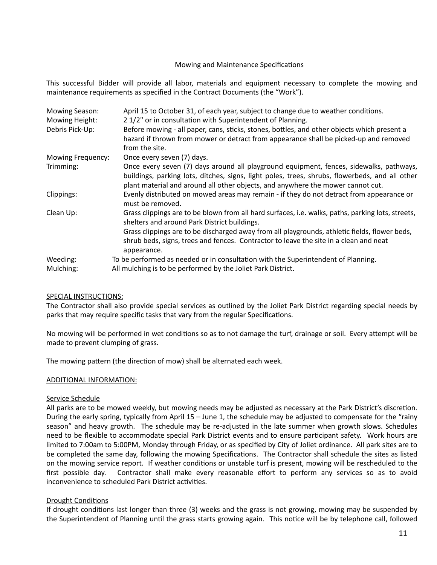#### Mowing and Maintenance Specifications

This successful Bidder will provide all labor, materials and equipment necessary to complete the mowing and maintenance requirements as specified in the Contract Documents (the "Work").

| <b>Mowing Season:</b><br>Mowing Height: | April 15 to October 31, of each year, subject to change due to weather conditions.<br>21/2" or in consultation with Superintendent of Planning.                                                                                                                              |
|-----------------------------------------|------------------------------------------------------------------------------------------------------------------------------------------------------------------------------------------------------------------------------------------------------------------------------|
| Debris Pick-Up:                         | Before mowing - all paper, cans, sticks, stones, bottles, and other objects which present a<br>hazard if thrown from mower or detract from appearance shall be picked-up and removed<br>from the site.                                                                       |
| Mowing Frequency:                       | Once every seven (7) days.                                                                                                                                                                                                                                                   |
| Trimming:                               | Once every seven (7) days around all playground equipment, fences, sidewalks, pathways,<br>buildings, parking lots, ditches, signs, light poles, trees, shrubs, flowerbeds, and all other<br>plant material and around all other objects, and anywhere the mower cannot cut. |
| Clippings:                              | Evenly distributed on mowed areas may remain - if they do not detract from appearance or<br>must be removed.                                                                                                                                                                 |
| Clean Up:                               | Grass clippings are to be blown from all hard surfaces, i.e. walks, paths, parking lots, streets,<br>shelters and around Park District buildings.                                                                                                                            |
|                                         | Grass clippings are to be discharged away from all playgrounds, athletic fields, flower beds,<br>shrub beds, signs, trees and fences. Contractor to leave the site in a clean and neat<br>appearance.                                                                        |
| Weeding:                                | To be performed as needed or in consultation with the Superintendent of Planning.                                                                                                                                                                                            |
| Mulching:                               | All mulching is to be performed by the Joliet Park District.                                                                                                                                                                                                                 |

#### SPECIAL INSTRUCTIONS:

The Contractor shall also provide special services as outlined by the Joliet Park District regarding special needs by parks that may require specific tasks that vary from the regular Specifications.

No mowing will be performed in wet conditions so as to not damage the turf, drainage or soil. Every attempt will be made to prevent clumping of grass.

The mowing pattern (the direction of mow) shall be alternated each week.

#### ADDITIONAL INFORMATION:

#### Service Schedule

All parks are to be mowed weekly, but mowing needs may be adjusted as necessary at the Park District's discretion. During the early spring, typically from April  $15 -$  June 1, the schedule may be adjusted to compensate for the "rainy season" and heavy growth. The schedule may be re-adjusted in the late summer when growth slows. Schedules need to be flexible to accommodate special Park District events and to ensure participant safety. Work hours are limited to 7:00am to 5:00PM, Monday through Friday, or as specified by City of Joliet ordinance. All park sites are to be completed the same day, following the mowing Specifications. The Contractor shall schedule the sites as listed on the mowing service report. If weather conditions or unstable turf is present, mowing will be rescheduled to the first possible day. Contractor shall make every reasonable effort to perform any services so as to avoid inconvenience to scheduled Park District activities.

#### Drought Conditions

If drought conditions last longer than three (3) weeks and the grass is not growing, mowing may be suspended by the Superintendent of Planning until the grass starts growing again. This notice will be by telephone call, followed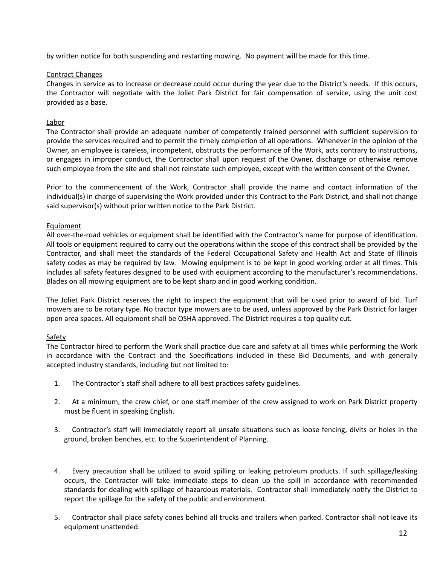by written notice for both suspending and restarting mowing. No payment will be made for this time.

#### Contract Changes

Changes in service as to increase or decrease could occur during the year due to the District's needs. If this occurs, the Contractor will negotiate with the Joliet Park District for fair compensation of service, using the unit cost provided as a base.

#### Labor

The Contractor shall provide an adequate number of competently trained personnel with sufficient supervision to provide the services required and to permit the timely completion of all operations. Whenever in the opinion of the Owner, an employee is careless, incompetent, obstructs the performance of the Work, acts contrary to instructions, or engages in improper conduct, the Contractor shall upon request of the Owner, discharge or otherwise remove such employee from the site and shall not reinstate such employee, except with the written consent of the Owner.

Prior to the commencement of the Work, Contractor shall provide the name and contact information of the individual(s) in charge of supervising the Work provided under this Contract to the Park District, and shall not change said supervisor(s) without prior written notice to the Park District.

#### Equipment

All over-the-road vehicles or equipment shall be identified with the Contractor's name for purpose of identification. All tools or equipment required to carry out the operations within the scope of this contract shall be provided by the Contractor, and shall meet the standards of the Federal Occupational Safety and Health Act and State of Illinois safety codes as may be required by law. Mowing equipment is to be kept in good working order at all times. This includes all safety features designed to be used with equipment according to the manufacturer's recommendations. Blades on all mowing equipment are to be kept sharp and in good working condition.

The Joliet Park District reserves the right to inspect the equipment that will be used prior to award of bid. Turf mowers are to be rotary type. No tractor type mowers are to be used, unless approved by the Park District for larger open area spaces. All equipment shall be OSHA approved. The District requires a top quality cut.

## **Safety**

The Contractor hired to perform the Work shall practice due care and safety at all times while performing the Work in accordance with the Contract and the Specifications included in these Bid Documents, and with generally accepted industry standards, including but not limited to:

- 1. The Contractor's staff shall adhere to all best practices safety guidelines.
- 2. At a minimum, the crew chief, or one staff member of the crew assigned to work on Park District property must be fluent in speaking English.
- 3. Contractor's staff will immediately report all unsafe situations such as loose fencing, divits or holes in the ground, broken benches, etc. to the Superintendent of Planning.
- 4. Every precaution shall be utilized to avoid spilling or leaking petroleum products. If such spillage/leaking occurs, the Contractor will take immediate steps to clean up the spill in accordance with recommended standards for dealing with spillage of hazardous materials. Contractor shall immediately notify the District to report the spillage for the safety of the public and environment.
- 5. Contractor shall place safety cones behind all trucks and trailers when parked. Contractor shall not leave its equipment unattended.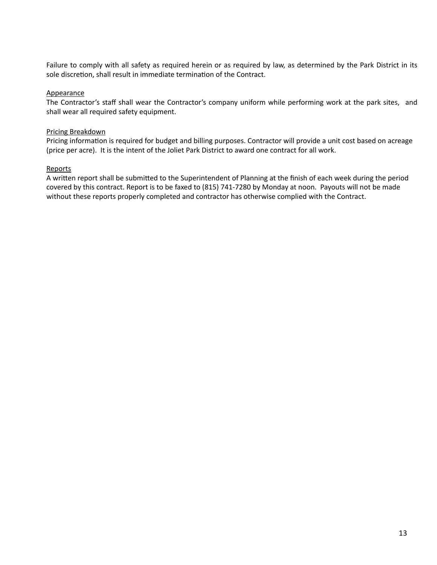Failure to comply with all safety as required herein or as required by law, as determined by the Park District in its sole discretion, shall result in immediate termination of the Contract.

#### **Appearance**

The Contractor's staff shall wear the Contractor's company uniform while performing work at the park sites, and shall wear all required safety equipment.

#### Pricing Breakdown

Pricing information is required for budget and billing purposes. Contractor will provide a unit cost based on acreage (price per acre). It is the intent of the Joliet Park District to award one contract for all work.

#### **Reports**

A written report shall be submitted to the Superintendent of Planning at the finish of each week during the period covered by this contract. Report is to be faxed to (815) 741-7280 by Monday at noon. Payouts will not be made without these reports properly completed and contractor has otherwise complied with the Contract.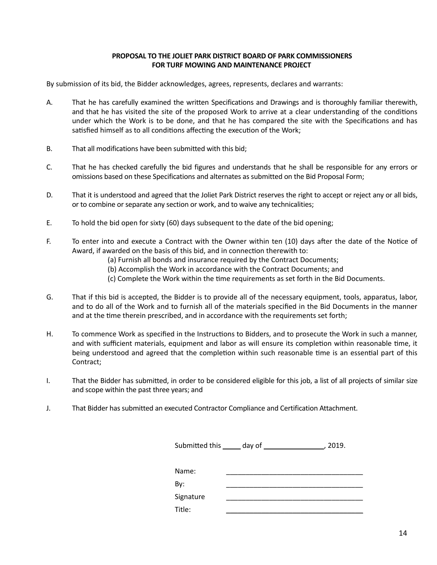#### **PROPOSAL TO THE JOLIET PARK DISTRICT BOARD OF PARK COMMISSIONERS FOR TURF MOWING AND MAINTENANCE PROJECT**

By submission of its bid, the Bidder acknowledges, agrees, represents, declares and warrants:

- A. That he has carefully examined the written Specifications and Drawings and is thoroughly familiar therewith, and that he has visited the site of the proposed Work to arrive at a clear understanding of the conditions under which the Work is to be done, and that he has compared the site with the Specifications and has satisfied himself as to all conditions affecting the execution of the Work;
- B. That all modifications have been submitted with this bid;
- C. That he has checked carefully the bid figures and understands that he shall be responsible for any errors or omissions based on these Specifications and alternates as submitted on the Bid Proposal Form;
- D. That it is understood and agreed that the Joliet Park District reserves the right to accept or reject any or all bids, or to combine or separate any section or work, and to waive any technicalities;
- E. To hold the bid open for sixty  $(60)$  days subsequent to the date of the bid opening;
- F. To enter into and execute a Contract with the Owner within ten (10) days after the date of the Notice of Award, if awarded on the basis of this bid, and in connection therewith to:
	- (a) Furnish all bonds and insurance required by the Contract Documents;
	- (b) Accomplish the Work in accordance with the Contract Documents; and
	- (c) Complete the Work within the time requirements as set forth in the Bid Documents.
- G. That if this bid is accepted, the Bidder is to provide all of the necessary equipment, tools, apparatus, labor, and to do all of the Work and to furnish all of the materials specified in the Bid Documents in the manner and at the time therein prescribed, and in accordance with the requirements set forth;
- H. To commence Work as specified in the Instructions to Bidders, and to prosecute the Work in such a manner, and with sufficient materials, equipment and labor as will ensure its completion within reasonable time, it being understood and agreed that the completion within such reasonable time is an essential part of this Contract;
- I. That the Bidder has submitted, in order to be considered eligible for this job, a list of all projects of similar size and scope within the past three years; and
- J. That Bidder has submitted an executed Contractor Compliance and Certification Attachment.

|           | Submitted this ______ day of _____________ | 2019. |
|-----------|--------------------------------------------|-------|
|           |                                            |       |
| Name:     |                                            |       |
| By:       |                                            |       |
| Signature |                                            |       |
| Title:    |                                            |       |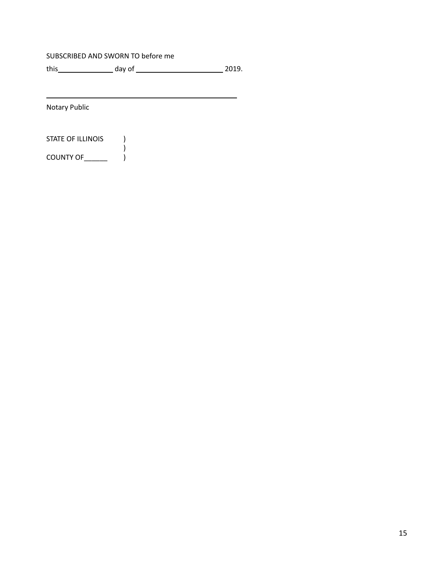#### SUBSCRIBED AND SWORN TO before me

 $\overline{\phantom{a}}$ 

<u> 2000 - Andrea Andrew Maria (h. 1888).</u>

 $\left( \begin{array}{c} \end{array} \right)$ 

**Notary Public** 

STATE OF ILLINOIS (

 $\begin{array}{c} 7 \ \text{COUNTY OF} \end{array}$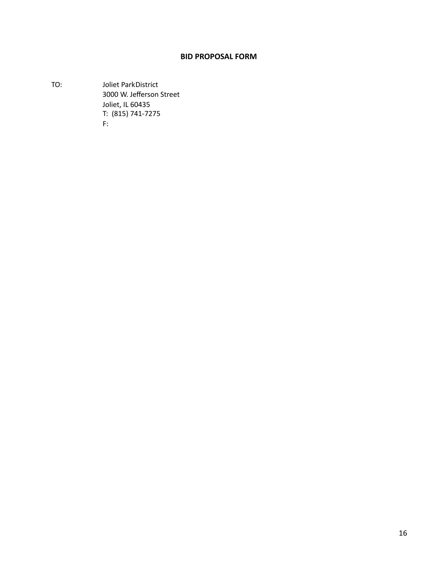## **BID PROPOSAL FORM**

TO: **Joliet ParkDistrict** 3000 W. Jefferson Street Joliet, IL 60435 T: (815) 741-7275 F: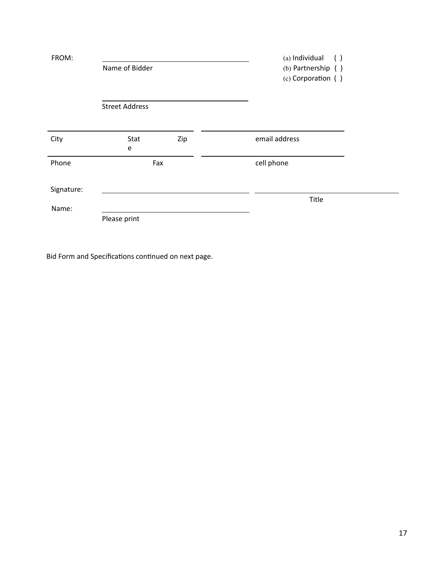| FROM:      | Name of Bidder        |     | (a) Individual<br>$\left( \begin{array}{c} \end{array} \right)$<br>(b) Partnership ()<br>(c) Corporation () |
|------------|-----------------------|-----|-------------------------------------------------------------------------------------------------------------|
|            | <b>Street Address</b> |     |                                                                                                             |
| City       | Stat<br>e             | Zip | email address                                                                                               |
| Phone      |                       | Fax | cell phone                                                                                                  |
| Signature: |                       |     |                                                                                                             |
| Name:      |                       |     | Title                                                                                                       |
|            | Please print          |     |                                                                                                             |

Bid Form and Specifications continued on next page.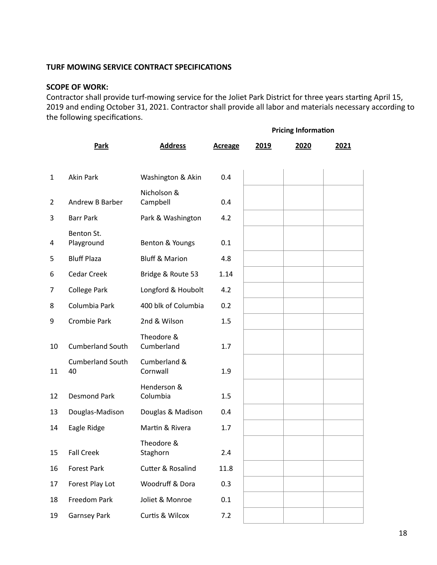## **TURF MOWING SERVICE CONTRACT SPECIFICATIONS**

## **SCOPE OF WORK:**

Contractor shall provide turf-mowing service for the Joliet Park District for three years starting April 15, 2019 and ending October 31, 2021. Contractor shall provide all labor and materials necessary according to the following specifications.

|                |                               |                           |                |      | <b>Pricing Information</b> |      |
|----------------|-------------------------------|---------------------------|----------------|------|----------------------------|------|
|                | Park                          | <b>Address</b>            | <b>Acreage</b> | 2019 | 2020                       | 2021 |
| 1              | <b>Akin Park</b>              | Washington & Akin         | 0.4            |      |                            |      |
|                |                               | Nicholson &               |                |      |                            |      |
| $\overline{2}$ | Andrew B Barber               | Campbell                  | 0.4            |      |                            |      |
| 3              | <b>Barr Park</b>              | Park & Washington         | 4.2            |      |                            |      |
| 4              | Benton St.<br>Playground      | Benton & Youngs           | 0.1            |      |                            |      |
| 5              | <b>Bluff Plaza</b>            | <b>Bluff &amp; Marion</b> | 4.8            |      |                            |      |
| 6              | <b>Cedar Creek</b>            | Bridge & Route 53         | 1.14           |      |                            |      |
| 7              | <b>College Park</b>           | Longford & Houbolt        | 4.2            |      |                            |      |
| 8              | Columbia Park                 | 400 blk of Columbia       | 0.2            |      |                            |      |
| 9              | <b>Crombie Park</b>           | 2nd & Wilson              | 1.5            |      |                            |      |
| 10             | <b>Cumberland South</b>       | Theodore &<br>Cumberland  | 1.7            |      |                            |      |
| 11             | <b>Cumberland South</b><br>40 | Cumberland &<br>Cornwall  | 1.9            |      |                            |      |
| 12             | <b>Desmond Park</b>           | Henderson &<br>Columbia   | 1.5            |      |                            |      |
| 13             | Douglas-Madison               | Douglas & Madison         | 0.4            |      |                            |      |
| 14             | Eagle Ridge                   | Martin & Rivera           | 1.7            |      |                            |      |
| 15             | <b>Fall Creek</b>             | Theodore &<br>Staghorn    | 2.4            |      |                            |      |
| 16             | Forest Park                   | Cutter & Rosalind         | 11.8           |      |                            |      |
| 17             | Forest Play Lot               | Woodruff & Dora           | 0.3            |      |                            |      |
| 18             | Freedom Park                  | Joliet & Monroe           | 0.1            |      |                            |      |
| 19             | <b>Garnsey Park</b>           | Curtis & Wilcox           | 7.2            |      |                            |      |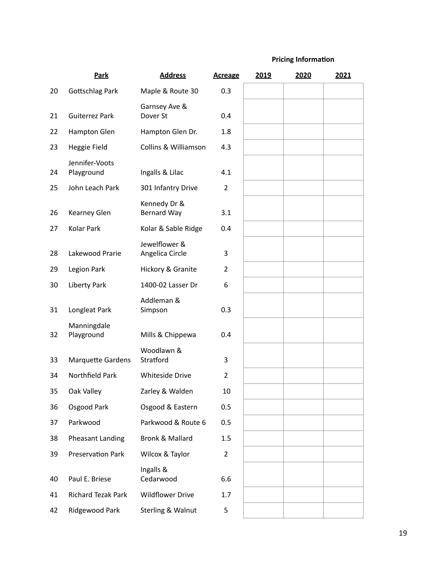## **Pricing Information**

|    | Park                         | <b>Address</b>                     | <b>Acreage</b> | 2019 | 2020 | 2021 |
|----|------------------------------|------------------------------------|----------------|------|------|------|
| 20 | Gottschlag Park              | Maple & Route 30                   | 0.3            |      |      |      |
| 21 | <b>Guiterrez Park</b>        | Garnsey Ave &<br>Dover St          | 0.4            |      |      |      |
| 22 | Hampton Glen                 | Hampton Glen Dr.                   | 1.8            |      |      |      |
| 23 | Heggie Field                 | <b>Collins &amp; Williamson</b>    | 4.3            |      |      |      |
| 24 | Jennifer-Voots<br>Playground | Ingalls & Lilac                    | 4.1            |      |      |      |
| 25 | John Leach Park              | 301 Infantry Drive                 | $\overline{2}$ |      |      |      |
| 26 | <b>Kearney Glen</b>          | Kennedy Dr &<br><b>Bernard Way</b> | 3.1            |      |      |      |
| 27 | Kolar Park                   | Kolar & Sable Ridge                | 0.4            |      |      |      |
| 28 | Lakewood Prarie              | Jewelflower &<br>Angelica Circle   | 3              |      |      |      |
| 29 | Legion Park                  | Hickory & Granite                  | $\overline{2}$ |      |      |      |
| 30 | Liberty Park                 | 1400-02 Lasser Dr                  | 6              |      |      |      |
| 31 | Longleat Park                | Addleman &<br>Simpson              | 0.3            |      |      |      |
| 32 | Manningdale<br>Playground    | Mills & Chippewa                   | 0.4            |      |      |      |
| 33 | <b>Marquette Gardens</b>     | Woodlawn &<br>Stratford            | 3              |      |      |      |
| 34 | <b>Northfield Park</b>       | <b>Whiteside Drive</b>             | $\overline{2}$ |      |      |      |
| 35 | Oak Valley                   | Zarley & Walden                    | 10             |      |      |      |
| 36 | Osgood Park                  | Osgood & Eastern                   | 0.5            |      |      |      |
| 37 | Parkwood                     | Parkwood & Route 6                 | 0.5            |      |      |      |
| 38 | <b>Pheasant Landing</b>      | <b>Bronk &amp; Mallard</b>         | 1.5            |      |      |      |
| 39 | <b>Preservation Park</b>     | Wilcox & Taylor                    | $\overline{2}$ |      |      |      |
| 40 | Paul E. Briese               | Ingalls &<br>Cedarwood             | 6.6            |      |      |      |
| 41 | <b>Richard Tezak Park</b>    | <b>Wildflower Drive</b>            | 1.7            |      |      |      |
| 42 | Ridgewood Park               | Sterling & Walnut                  | 5              |      |      |      |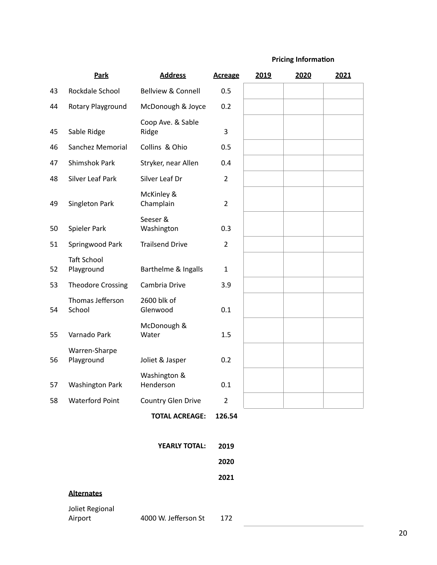## **Pricing Information**

|    | Park                             | <b>Address</b>                | <b>Acreage</b> | 2019 | 2020 | 2021 |
|----|----------------------------------|-------------------------------|----------------|------|------|------|
| 43 | Rockdale School                  | <b>Bellview &amp; Connell</b> | 0.5            |      |      |      |
| 44 | Rotary Playground                | McDonough & Joyce             | 0.2            |      |      |      |
| 45 | Sable Ridge                      | Coop Ave. & Sable<br>Ridge    | 3              |      |      |      |
| 46 | Sanchez Memorial                 | Collins & Ohio                | 0.5            |      |      |      |
| 47 | <b>Shimshok Park</b>             | Stryker, near Allen           | 0.4            |      |      |      |
| 48 | Silver Leaf Park                 | Silver Leaf Dr                | $\overline{2}$ |      |      |      |
| 49 | Singleton Park                   | McKinley &<br>Champlain       | $\overline{2}$ |      |      |      |
| 50 | Spieler Park                     | Seeser &<br>Washington        | 0.3            |      |      |      |
| 51 | Springwood Park                  | <b>Trailsend Drive</b>        | $\overline{2}$ |      |      |      |
| 52 | <b>Taft School</b><br>Playground | Barthelme & Ingalls           | $\mathbf{1}$   |      |      |      |
| 53 | <b>Theodore Crossing</b>         | Cambria Drive                 | 3.9            |      |      |      |
| 54 | Thomas Jefferson<br>School       | 2600 blk of<br>Glenwood       | 0.1            |      |      |      |
| 55 | Varnado Park                     | McDonough &<br>Water          | 1.5            |      |      |      |
| 56 | Warren-Sharpe<br>Playground      | Joliet & Jasper               | 0.2            |      |      |      |
| 57 | <b>Washington Park</b>           | Washington &<br>Henderson     | 0.1            |      |      |      |
| 58 | <b>Waterford Point</b>           | Country Glen Drive            | $\overline{2}$ |      |      |      |
|    |                                  | <b>TOTAL ACREAGE:</b>         | 126.54         |      |      |      |

|                   | <b>YEARLY TOTAL:</b> | 2019 |  |
|-------------------|----------------------|------|--|
|                   |                      | 2020 |  |
|                   |                      | 2021 |  |
| <b>Alternates</b> |                      |      |  |
|                   |                      |      |  |

Joliet Regional<br>Airport 4000 W. Jefferson St 172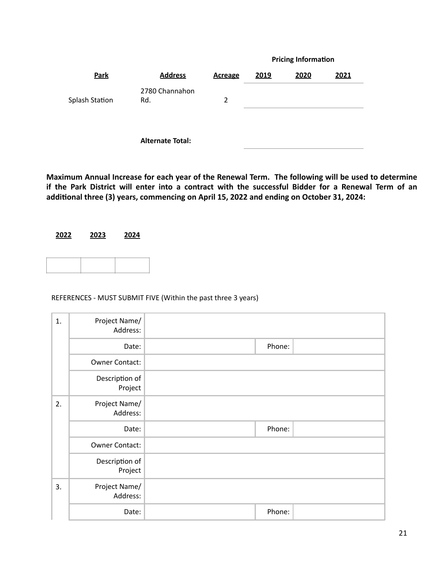|                       |                         |                |      | <b>Pricing Information</b> |      |
|-----------------------|-------------------------|----------------|------|----------------------------|------|
| Park                  | <b>Address</b>          | <b>Acreage</b> | 2019 | 2020                       | 2021 |
| <b>Splash Station</b> | 2780 Channahon<br>Rd.   | $\overline{2}$ |      |                            |      |
|                       | <b>Alternate Total:</b> |                |      |                            |      |

Maximum Annual Increase for each year of the Renewal Term. The following will be used to determine if the Park District will enter into a contract with the successful Bidder for a Renewal Term of an additional three (3) years, commencing on April 15, 2022 and ending on October 31, 2024:



#### REFERENCES - MUST SUBMIT FIVE (Within the past three 3 years)

| 1. | Project Name/<br>Address: |        |  |
|----|---------------------------|--------|--|
|    | Date:                     | Phone: |  |
|    | <b>Owner Contact:</b>     |        |  |
|    | Description of<br>Project |        |  |
| 2. | Project Name/<br>Address: |        |  |
|    | Date:                     | Phone: |  |
|    | <b>Owner Contact:</b>     |        |  |
|    | Description of<br>Project |        |  |
| 3. | Project Name/<br>Address: |        |  |
|    | Date:                     | Phone: |  |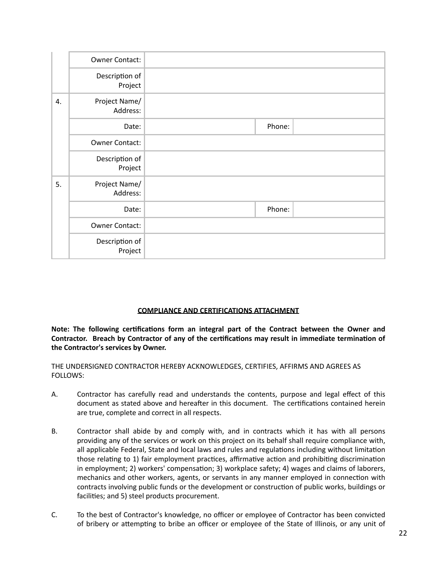|    | <b>Owner Contact:</b>     |        |
|----|---------------------------|--------|
|    | Description of<br>Project |        |
| 4. | Project Name/<br>Address: |        |
|    | Date:                     | Phone: |
|    | <b>Owner Contact:</b>     |        |
|    | Description of<br>Project |        |
| 5. | Project Name/<br>Address: |        |
|    | Date:                     | Phone: |
|    | Owner Contact:            |        |
|    | Description of<br>Project |        |

#### **COMPLIANCE AND CERTIFICATIONS ATTACHMENT**

Note: The following certifications form an integral part of the Contract between the Owner and Contractor. Breach by Contractor of any of the certifications may result in immediate termination of the Contractor's services by Owner.

THE UNDERSIGNED CONTRACTOR HEREBY ACKNOWLEDGES, CERTIFIES, AFFIRMS AND AGREES AS FOLLOWS: 

- A. Contractor has carefully read and understands the contents, purpose and legal effect of this document as stated above and hereafter in this document. The certifications contained herein are true, complete and correct in all respects.
- B. Contractor shall abide by and comply with, and in contracts which it has with all persons providing any of the services or work on this project on its behalf shall require compliance with, all applicable Federal, State and local laws and rules and regulations including without limitation those relating to 1) fair employment practices, affirmative action and prohibiting discrimination in employment; 2) workers' compensation; 3) workplace safety; 4) wages and claims of laborers, mechanics and other workers, agents, or servants in any manner employed in connection with contracts involving public funds or the development or construction of public works, buildings or facilities; and 5) steel products procurement.
- C. To the best of Contractor's knowledge, no officer or employee of Contractor has been convicted of bribery or attempting to bribe an officer or employee of the State of Illinois, or any unit of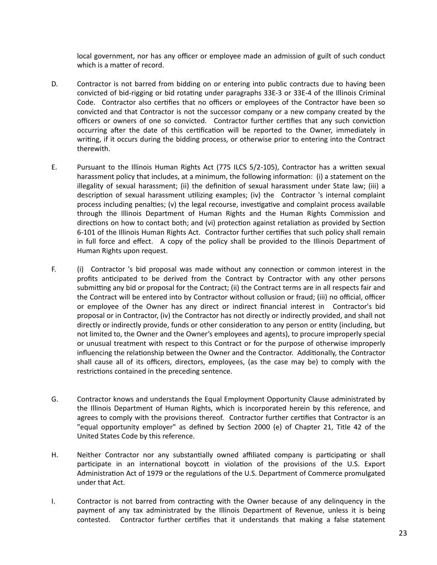local government, nor has any officer or employee made an admission of guilt of such conduct which is a matter of record.

- D. Contractor is not barred from bidding on or entering into public contracts due to having been convicted of bid-rigging or bid rotating under paragraphs 33E-3 or 33E-4 of the Illinois Criminal Code. Contractor also certifies that no officers or employees of the Contractor have been so convicted and that Contractor is not the successor company or a new company created by the officers or owners of one so convicted. Contractor further certifies that any such conviction occurring after the date of this certification will be reported to the Owner, immediately in writing, if it occurs during the bidding process, or otherwise prior to entering into the Contract therewith.
- E. Pursuant to the Illinois Human Rights Act (775 ILCS 5/2-105), Contractor has a written sexual harassment policy that includes, at a minimum, the following information: (i) a statement on the illegality of sexual harassment; (ii) the definition of sexual harassment under State law; (iii) a description of sexual harassment utilizing examples; (iv) the Contractor 's internal complaint process including penalties;  $(v)$  the legal recourse, investigative and complaint process available through the Illinois Department of Human Rights and the Human Rights Commission and directions on how to contact both; and (vi) protection against retaliation as provided by Section 6-101 of the Illinois Human Rights Act. Contractor further certifies that such policy shall remain in full force and effect. A copy of the policy shall be provided to the Illinois Department of Human Rights upon request.
- F. (i) Contractor 's bid proposal was made without any connection or common interest in the profits anticipated to be derived from the Contract by Contractor with any other persons submitting any bid or proposal for the Contract; (ii) the Contract terms are in all respects fair and the Contract will be entered into by Contractor without collusion or fraud; (iii) no official, officer or employee of the Owner has any direct or indirect financial interest in Contractor's bid proposal or in Contractor, (iv) the Contractor has not directly or indirectly provided, and shall not directly or indirectly provide, funds or other consideration to any person or entity (including, but not limited to, the Owner and the Owner's employees and agents), to procure improperly special or unusual treatment with respect to this Contract or for the purpose of otherwise improperly influencing the relationship between the Owner and the Contractor. Additionally, the Contractor shall cause all of its officers, directors, employees, (as the case may be) to comply with the restrictions contained in the preceding sentence.
- G. Contractor knows and understands the Equal Employment Opportunity Clause administrated by the Illinois Department of Human Rights, which is incorporated herein by this reference, and agrees to comply with the provisions thereof. Contractor further certifies that Contractor is an "equal opportunity employer" as defined by Section 2000 (e) of Chapter 21, Title 42 of the United States Code by this reference.
- H. Neither Contractor nor any substantially owned affiliated company is participating or shall participate in an international boycott in violation of the provisions of the U.S. Export Administration Act of 1979 or the regulations of the U.S. Department of Commerce promulgated under that Act.
- I. Contractor is not barred from contracting with the Owner because of any delinguency in the payment of any tax administrated by the Illinois Department of Revenue, unless it is being contested. Contractor further certifies that it understands that making a false statement